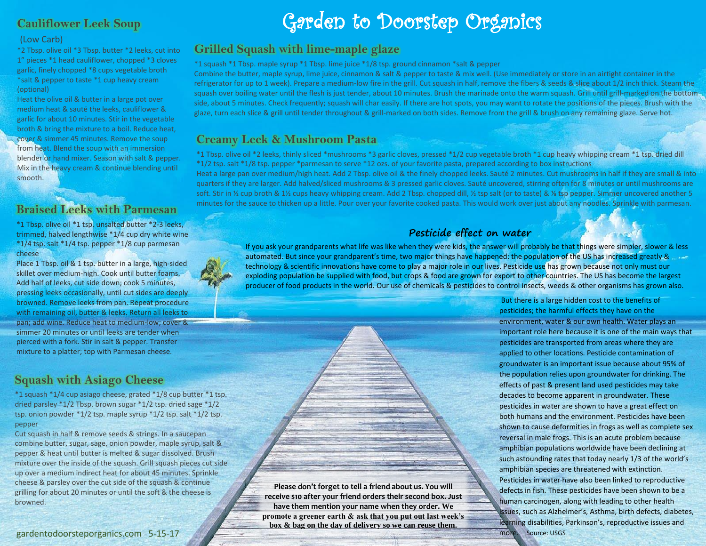## **Cauliflower Leek Soup**

#### (Low Carb)

\*2 Tbsp. olive oil \*3 Tbsp. butter \*2 leeks, cut into 1" pieces \*1 head cauliflower, chopped \*3 cloves garlic, finely chopped \*8 cups vegetable broth \*salt & pepper to taste \*1 cup heavy cream (optional)

Heat the olive oil & butter in a large pot over medium heat & sauté the leeks, cauliflower & garlic for about 10 minutes. Stir in the vegetable broth & bring the mixture to a boil. Reduce heat, cover & simmer 45 minutes. Remove the soup from heat. Blend the soup with an immersion blender or hand mixer. Season with salt & pepper. Mix in the heavy cream & continue blending until smooth.

### **Braised Leeks with Parmesan**

\*1 Tbsp. olive oil \*1 tsp. unsalted butter \*2-3 leeks, trimmed, halved lengthwise \*1/4 cup dry white wine  $*1/4$  tsp. salt  $*1/4$  tsp. pepper  $*1/8$  cup parmesan cheese

Place 1 Tbsp. oil & 1 tsp. butter in a large, high-sided skillet over medium-high. Cook until butter foams. Add half of leeks, cut side down; cook 5 minutes, pressing leeks occasionally, until cut sides are deeply browned. Remove leeks from pan. Repeat procedure with remaining oil, butter & leeks. Return all leeks to pan; add wine. Reduce heat to medium-low; cover & simmer 20 minutes or until leeks are tender when pierced with a fork. Stir in salt & pepper. Transfer mixture to a platter; top with Parmesan cheese.

## **Squash with Asiago Cheese**

\*1 squash \*1/4 cup asiago cheese, grated \*1/8 cup butter \*1 tsp. dried parsley \*1/2 Tbsp. brown sugar \*1/2 tsp. dried sage \*1/2 tsp. onion powder \*1/2 tsp. maple syrup \*1/2 tsp. salt \*1/2 tsp. pepper

Cut squash in half & remove seeds & strings. In a saucepan combine butter, sugar, sage, onion powder, maple syrup, salt & pepper & heat until butter is melted & sugar dissolved. Brush mixture over the inside of the squash. Grill squash pieces cut side up over a medium indirect heat for about 45 minutes. Sprinkle cheese & parsley over the cut side of the squash & continue grilling for about 20 minutes or until the soft & the cheese is browned.

### gardentodoorsteporganics.com 5-15-17

# Garden to Doorstep Organics

### **Grilled Squash with lime-maple glaze**

\*1 squash \*1 Tbsp. maple syrup \*1 Tbsp. lime juice \*1/8 tsp. ground cinnamon \*salt & pepper

Combine the butter, maple syrup, lime juice, cinnamon & salt & pepper to taste & mix well. (Use immediately or store in an airtight container in the refrigerator for up to 1 week). Prepare a medium-low fire in the grill. Cut squash in half, remove the fibers & seeds & slice about 1/2 inch thick. Steam the squash over boiling water until the flesh is just tender, about 10 minutes. Brush the marinade onto the warm squash. Grill until grill-marked on the bottomside, about 5 minutes. Check frequently; squash will char easily. If there are hot spots, you may want to rotate the positions of the pieces. Brush with the glaze, turn each slice & grill until tender throughout & grill-marked on both sides. Remove from the grill & brush on any remaining glaze. Serve hot.

### **Creamy Leek & Mushroom Pasta**

\*1 Tbsp. olive oil \*2 leeks, thinly sliced \*mushrooms \*3 garlic cloves, pressed \*1/2 cup vegetable broth \*1 cup heavy whipping cream \*1 tsp. dried dill \*1/2 tsp. salt \*1/8 tsp. pepper \*parmesan to serve \*12 ozs. of your favorite pasta, prepared according to box instructions Heat a large pan over medium/high heat. Add 2 Tbsp. olive oil & the finely chopped leeks. Sauté 2 minutes. Cut mushrooms in half if they are small & into quarters if they are larger. Add halved/sliced mushrooms & 3 pressed garlic cloves. Sauté uncovered, stirring often for 8 minutes or until mushrooms are soft. Stir in ½ cup broth & 1½ cups heavy whipping cream. Add 2 Tbsp. chopped dill, ½ tsp salt (or to taste) & ¼ tsp pepper. Simmer uncovered another 5 minutes for the sauce to thicken up a little. Pour over your favorite cooked pasta. This would work over just about any noodles. Sprinkle with parmesan.

### **Pesticide effect on water**

If you ask your grandparents what life was like when they were kids, the answer will probably be that things were simpler, slower & less automated. But since your grandparent's time, two major things have happened: the population of the US has increased greatly & technology & scientific innovations have come to play a major role in our lives. Pesticide use has grown because not only must our exploding population be supplied with food, but crops & food are grown for export to other countries. The US has become the largest producer of food products in the world. Our use of chemicals & pesticides to control insects, weeds & other organisms has grown also.

**Please don't forget to tell a friend about us. You will receive \$10 after your friend orders their second box. Just have them mention your name when they order. We promote a greener earth & ask that you put out last week's box & bag on the day of delivery so we can reuse them.**

But there is a large hidden cost to the benefits of pesticides; the harmful effects they have on the environment, water & our own health. Water plays an important role here because it is one of the main ways that pesticides are transported from areas where they are applied to other locations. Pesticide contamination of groundwater is an important issue because about 95% of the population relies upon groundwater for drinking. The effects of past & present land used pesticides may take decades to become apparent in groundwater. These pesticides in water are shown to have a great effect on both humans and the environment. Pesticides have been shown to cause deformities in frogs as well as complete sex reversal in male frogs. This is an acute problem because amphibian populations worldwide have been declining at such astounding rates that today nearly 1/3 of the world's amphibian species are threatened with extinction. Pesticides in water have also been linked to reproductive defects in fish. These pesticides have been shown to be a human carcinogen, along with leading to other health issues, such as Alzhelmer's, Asthma, birth defects, diabetes, learning disabilities, Parkinson's, reproductive issues and more. Source: USGS